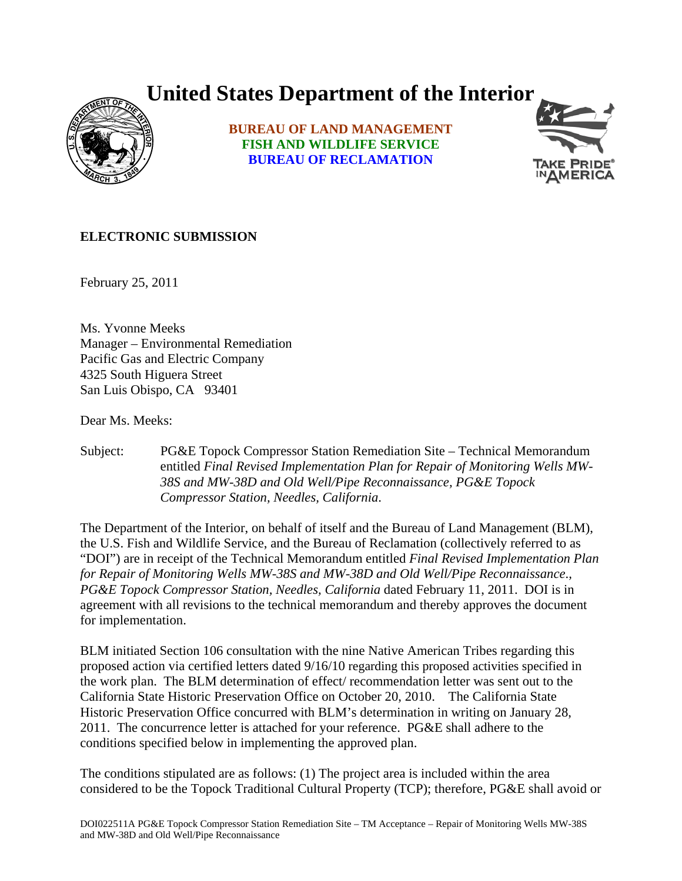## **United States Department of the Interior**



**BUREAU OF LAND MANAGEMENT FISH AND WILDLIFE SERVICE BUREAU OF RECLAMATION**



## **ELECTRONIC SUBMISSION**

February 25, 2011

Ms. Yvonne Meeks Manager – Environmental Remediation Pacific Gas and Electric Company 4325 South Higuera Street San Luis Obispo, CA 93401

Dear Ms. Meeks:

Subject: PG&E Topock Compressor Station Remediation Site – Technical Memorandum entitled *Final Revised Implementation Plan for Repair of Monitoring Wells MW-38S and MW-38D and Old Well/Pipe Reconnaissance, PG&E Topock Compressor Station, Needles, California*.

The Department of the Interior, on behalf of itself and the Bureau of Land Management (BLM), the U.S. Fish and Wildlife Service, and the Bureau of Reclamation (collectively referred to as "DOI") are in receipt of the Technical Memorandum entitled *Final Revised Implementation Plan for Repair of Monitoring Wells MW-38S and MW-38D and Old Well/Pipe Reconnaissance*.*, PG&E Topock Compressor Station, Needles, California* dated February 11, 2011. DOI is in agreement with all revisions to the technical memorandum and thereby approves the document for implementation.

BLM initiated Section 106 consultation with the nine Native American Tribes regarding this proposed action via certified letters dated 9/16/10 regarding this proposed activities specified in the work plan. The BLM determination of effect/ recommendation letter was sent out to the California State Historic Preservation Office on October 20, 2010. The California State Historic Preservation Office concurred with BLM's determination in writing on January 28, 2011. The concurrence letter is attached for your reference. PG&E shall adhere to the conditions specified below in implementing the approved plan.

The conditions stipulated are as follows: (1) The project area is included within the area considered to be the Topock Traditional Cultural Property (TCP); therefore, PG&E shall avoid or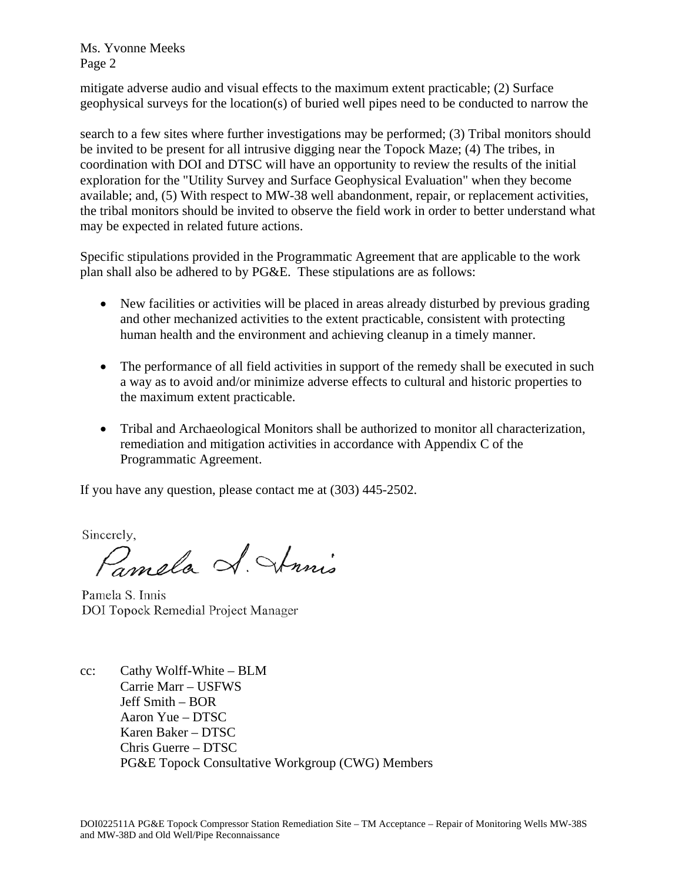Ms. Yvonne Meeks Page 2

mitigate adverse audio and visual effects to the maximum extent practicable; (2) Surface geophysical surveys for the location(s) of buried well pipes need to be conducted to narrow the

search to a few sites where further investigations may be performed; (3) Tribal monitors should be invited to be present for all intrusive digging near the Topock Maze; (4) The tribes, in coordination with DOI and DTSC will have an opportunity to review the results of the initial exploration for the "Utility Survey and Surface Geophysical Evaluation" when they become available; and, (5) With respect to MW-38 well abandonment, repair, or replacement activities, the tribal monitors should be invited to observe the field work in order to better understand what may be expected in related future actions.

Specific stipulations provided in the Programmatic Agreement that are applicable to the work plan shall also be adhered to by PG&E. These stipulations are as follows:

- New facilities or activities will be placed in areas already disturbed by previous grading and other mechanized activities to the extent practicable, consistent with protecting human health and the environment and achieving cleanup in a timely manner.
- The performance of all field activities in support of the remedy shall be executed in such a way as to avoid and/or minimize adverse effects to cultural and historic properties to the maximum extent practicable.
- Tribal and Archaeological Monitors shall be authorized to monitor all characterization, remediation and mitigation activities in accordance with Appendix C of the Programmatic Agreement.

If you have any question, please contact me at (303) 445-2502.

Sincerely,

Pampla S. Strinis

Pamela S. Innis DOI Topock Remedial Project Manager

cc: Cathy Wolff-White – BLM Carrie Marr – USFWS Jeff Smith – BOR Aaron Yue – DTSC Karen Baker – DTSC Chris Guerre – DTSC PG&E Topock Consultative Workgroup (CWG) Members